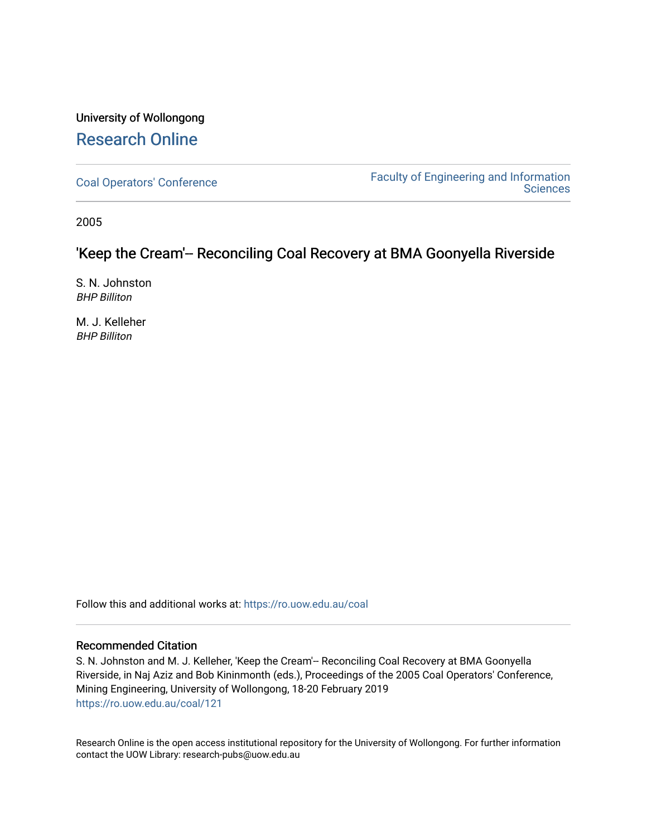# University of Wollongong [Research Online](https://ro.uow.edu.au/)

[Coal Operators' Conference](https://ro.uow.edu.au/coal) [Faculty of Engineering and Information](https://ro.uow.edu.au/eis)  **Sciences** 

2005

## 'Keep the Cream'-- Reconciling Coal Recovery at BMA Goonyella Riverside

S. N. Johnston BHP Billiton

M. J. Kelleher BHP Billiton

Follow this and additional works at: [https://ro.uow.edu.au/coal](https://ro.uow.edu.au/coal?utm_source=ro.uow.edu.au%2Fcoal%2F121&utm_medium=PDF&utm_campaign=PDFCoverPages) 

## Recommended Citation

S. N. Johnston and M. J. Kelleher, 'Keep the Cream'-- Reconciling Coal Recovery at BMA Goonyella Riverside, in Naj Aziz and Bob Kininmonth (eds.), Proceedings of the 2005 Coal Operators' Conference, Mining Engineering, University of Wollongong, 18-20 February 2019 [https://ro.uow.edu.au/coal/121](https://ro.uow.edu.au/coal/121?utm_source=ro.uow.edu.au%2Fcoal%2F121&utm_medium=PDF&utm_campaign=PDFCoverPages) 

Research Online is the open access institutional repository for the University of Wollongong. For further information contact the UOW Library: research-pubs@uow.edu.au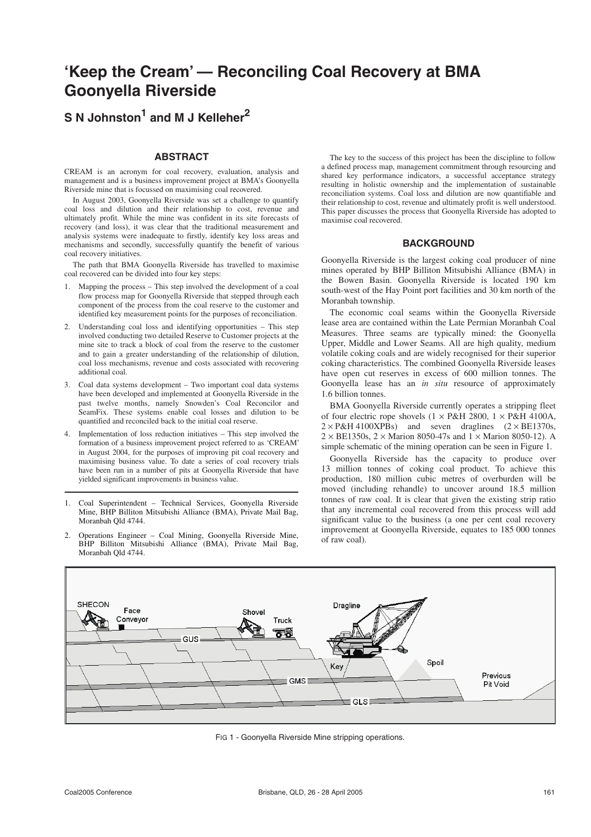# **'Keep the Cream' — Reconciling Coal Recovery at BMA Goonyella Riverside**

## **S N Johnston1 and M J Kelleher<sup>2</sup>**

#### **ABSTRACT**

CREAM is an acronym for coal recovery, evaluation, analysis and management and is a business improvement project at BMA's Goonyella Riverside mine that is focussed on maximising coal recovered.

In August 2003, Goonyella Riverside was set a challenge to quantify coal loss and dilution and their relationship to cost, revenue and ultimately profit. While the mine was confident in its site forecasts of recovery (and loss), it was clear that the traditional measurement and analysis systems were inadequate to firstly, identify key loss areas and mechanisms and secondly, successfully quantify the benefit of various coal recovery initiatives.

The path that BMA Goonyella Riverside has travelled to maximise coal recovered can be divided into four key steps:

- 1. Mapping the process This step involved the development of a coal flow process map for Goonyella Riverside that stepped through each component of the process from the coal reserve to the customer and identified key measurement points for the purposes of reconciliation.
- 2. Understanding coal loss and identifying opportunities This step involved conducting two detailed Reserve to Customer projects at the mine site to track a block of coal from the reserve to the customer and to gain a greater understanding of the relationship of dilution, coal loss mechanisms, revenue and costs associated with recovering additional coal.
- 3. Coal data systems development Two important coal data systems have been developed and implemented at Goonyella Riverside in the past twelve months, namely Snowden's Coal Reconcilor and SeamFix. These systems enable coal losses and dilution to be quantified and reconciled back to the initial coal reserve.
- 4. Implementation of loss reduction initiatives This step involved the formation of a business improvement project referred to as 'CREAM' in August 2004, for the purposes of improving pit coal recovery and maximising business value. To date a series of coal recovery trials have been run in a number of pits at Goonyella Riverside that have yielded significant improvements in business value.
- 1. Coal Superintendent Technical Services, Goonyella Riverside Mine, BHP Billiton Mitsubishi Alliance (BMA), Private Mail Bag, Moranbah Qld 4744.
- 2. Operations Engineer Coal Mining, Goonyella Riverside Mine, BHP Billiton Mitsubishi Alliance (BMA), Private Mail Bag, Moranbah Qld 4744.

The key to the success of this project has been the discipline to follow a defined process map, management commitment through resourcing and shared key performance indicators, a successful acceptance strategy resulting in holistic ownership and the implementation of sustainable reconciliation systems. Coal loss and dilution are now quantifiable and their relationship to cost, revenue and ultimately profit is well understood. This paper discusses the process that Goonyella Riverside has adopted to maximise coal recovered.

#### **BACKGROUND**

Goonyella Riverside is the largest coking coal producer of nine mines operated by BHP Billiton Mitsubishi Alliance (BMA) in the Bowen Basin. Goonyella Riverside is located 190 km south-west of the Hay Point port facilities and 30 km north of the Moranbah township.

The economic coal seams within the Goonyella Riverside lease area are contained within the Late Permian Moranbah Coal Measures. Three seams are typically mined: the Goonyella Upper, Middle and Lower Seams. All are high quality, medium volatile coking coals and are widely recognised for their superior coking characteristics. The combined Goonyella Riverside leases have open cut reserves in excess of 600 million tonnes. The Goonyella lease has an *in situ* resource of approximately 1.6 billion tonnes.

BMA Goonyella Riverside currently operates a stripping fleet of four electric rope shovels  $(1 \times P\&H 2800, 1 \times P\&H 4100$ A,  $2 \times P \& H \, 4100 \times P \& B$  and seven draglines  $(2 \times BE1370s,$  $2 \times$  BE1350s,  $2 \times$  Marion 8050-47s and  $1 \times$  Marion 8050-12). A simple schematic of the mining operation can be seen in Figure 1.

Goonyella Riverside has the capacity to produce over 13 million tonnes of coking coal product. To achieve this production, 180 million cubic metres of overburden will be moved (including rehandle) to uncover around 18.5 million tonnes of raw coal. It is clear that given the existing strip ratio that any incremental coal recovered from this process will add significant value to the business (a one per cent coal recovery improvement at Goonyella Riverside, equates to 185 000 tonnes of raw coal).



FIG 1 - Goonyella Riverside Mine stripping operations.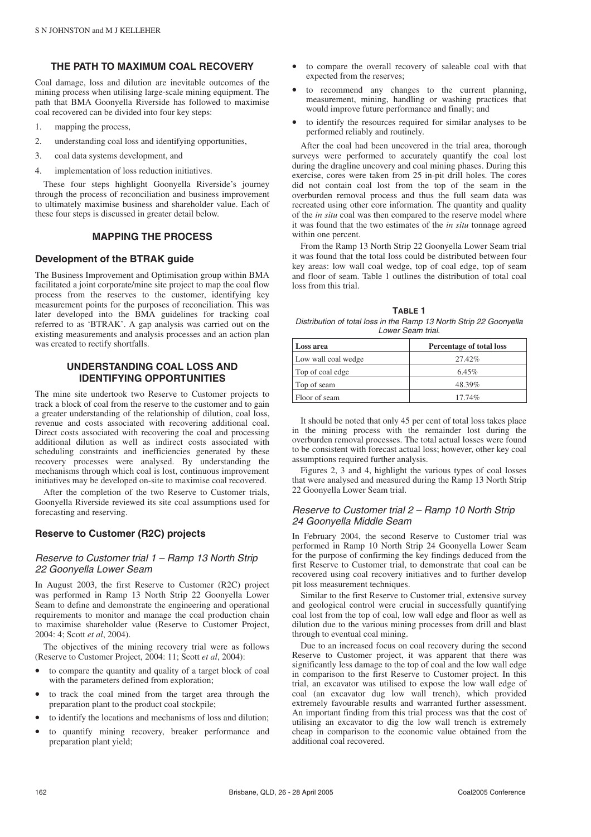#### **THE PATH TO MAXIMUM COAL RECOVERY**

Coal damage, loss and dilution are inevitable outcomes of the mining process when utilising large-scale mining equipment. The path that BMA Goonyella Riverside has followed to maximise coal recovered can be divided into four key steps:

- 1. mapping the process,
- 2. understanding coal loss and identifying opportunities,
- 3. coal data systems development, and
- 4. implementation of loss reduction initiatives.

These four steps highlight Goonyella Riverside's journey through the process of reconciliation and business improvement to ultimately maximise business and shareholder value. Each of these four steps is discussed in greater detail below.

#### **MAPPING THE PROCESS**

#### **Development of the BTRAK guide**

The Business Improvement and Optimisation group within BMA facilitated a joint corporate/mine site project to map the coal flow process from the reserves to the customer, identifying key measurement points for the purposes of reconciliation. This was later developed into the BMA guidelines for tracking coal referred to as 'BTRAK'. A gap analysis was carried out on the existing measurements and analysis processes and an action plan was created to rectify shortfalls.

## **UNDERSTANDING COAL LOSS AND IDENTIFYING OPPORTUNITIES**

The mine site undertook two Reserve to Customer projects to track a block of coal from the reserve to the customer and to gain a greater understanding of the relationship of dilution, coal loss, revenue and costs associated with recovering additional coal. Direct costs associated with recovering the coal and processing additional dilution as well as indirect costs associated with scheduling constraints and inefficiencies generated by these recovery processes were analysed. By understanding the mechanisms through which coal is lost, continuous improvement initiatives may be developed on-site to maximise coal recovered.

After the completion of the two Reserve to Customer trials, Goonyella Riverside reviewed its site coal assumptions used for forecasting and reserving.

#### **Reserve to Customer (R2C) projects**

#### Reserve to Customer trial 1 – Ramp 13 North Strip 22 Goonyella Lower Seam

In August 2003, the first Reserve to Customer (R2C) project was performed in Ramp 13 North Strip 22 Goonyella Lower Seam to define and demonstrate the engineering and operational requirements to monitor and manage the coal production chain to maximise shareholder value (Reserve to Customer Project, 2004: 4; Scott *et al*, 2004).

The objectives of the mining recovery trial were as follows (Reserve to Customer Project, 2004: 11; Scott *et al*, 2004):

- to compare the quantity and quality of a target block of coal with the parameters defined from exploration;
- to track the coal mined from the target area through the preparation plant to the product coal stockpile;
- to identify the locations and mechanisms of loss and dilution;
- to quantify mining recovery, breaker performance and preparation plant yield;
- to compare the overall recovery of saleable coal with that expected from the reserves;
- to recommend any changes to the current planning, measurement, mining, handling or washing practices that would improve future performance and finally; and
- to identify the resources required for similar analyses to be performed reliably and routinely.

After the coal had been uncovered in the trial area, thorough surveys were performed to accurately quantify the coal lost during the dragline uncovery and coal mining phases. During this exercise, cores were taken from 25 in-pit drill holes. The cores did not contain coal lost from the top of the seam in the overburden removal process and thus the full seam data was recreated using other core information. The quantity and quality of the *in situ* coal was then compared to the reserve model where it was found that the two estimates of the *in situ* tonnage agreed within one percent.

From the Ramp 13 North Strip 22 Goonyella Lower Seam trial it was found that the total loss could be distributed between four key areas: low wall coal wedge, top of coal edge, top of seam and floor of seam. Table 1 outlines the distribution of total coal loss from this trial.

**TABLE 1** Distribution of total loss in the Ramp 13 North Strip 22 Goonyella Lower Seam trial.

| Loss area           | Percentage of total loss |
|---------------------|--------------------------|
| Low wall coal wedge | $27.42\%$                |
| Top of coal edge    | 6.45%                    |
| Top of seam         | 48.39%                   |
| Floor of seam       | 17.74%                   |

It should be noted that only 45 per cent of total loss takes place in the mining process with the remainder lost during the overburden removal processes. The total actual losses were found to be consistent with forecast actual loss; however, other key coal assumptions required further analysis.

Figures 2, 3 and 4, highlight the various types of coal losses that were analysed and measured during the Ramp 13 North Strip 22 Goonyella Lower Seam trial.

#### Reserve to Customer trial 2 – Ramp 10 North Strip 24 Goonyella Middle Seam

In February 2004, the second Reserve to Customer trial was performed in Ramp 10 North Strip 24 Goonyella Lower Seam for the purpose of confirming the key findings deduced from the first Reserve to Customer trial, to demonstrate that coal can be recovered using coal recovery initiatives and to further develop pit loss measurement techniques.

Similar to the first Reserve to Customer trial, extensive survey and geological control were crucial in successfully quantifying coal lost from the top of coal, low wall edge and floor as well as dilution due to the various mining processes from drill and blast through to eventual coal mining.

Due to an increased focus on coal recovery during the second Reserve to Customer project, it was apparent that there was significantly less damage to the top of coal and the low wall edge in comparison to the first Reserve to Customer project. In this trial, an excavator was utilised to expose the low wall edge of coal (an excavator dug low wall trench), which provided extremely favourable results and warranted further assessment. An important finding from this trial process was that the cost of utilising an excavator to dig the low wall trench is extremely cheap in comparison to the economic value obtained from the additional coal recovered.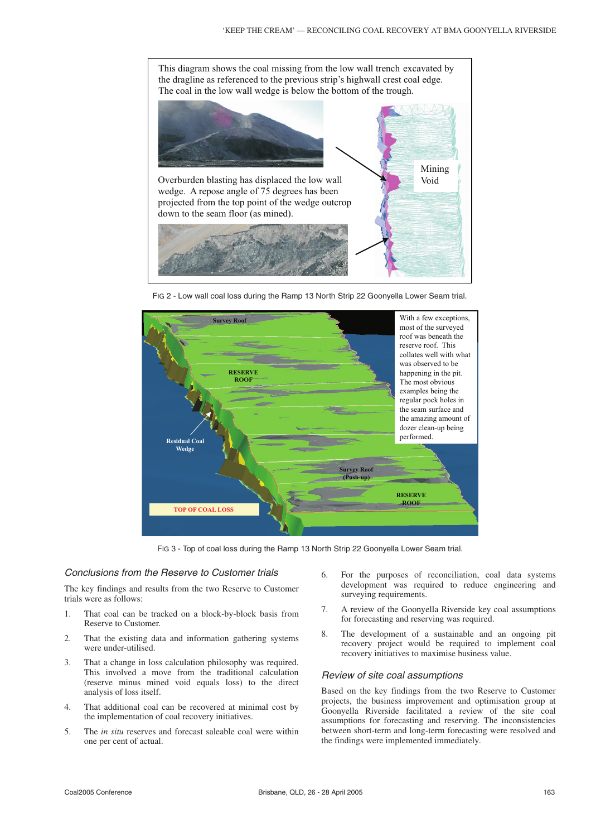

FIG 2 - Low wall coal loss during the Ramp 13 North Strip 22 Goonyella Lower Seam trial.



FIG 3 - Top of coal loss during the Ramp 13 North Strip 22 Goonyella Lower Seam trial.

## Conclusions from the Reserve to Customer trials

The key findings and results from the two Reserve to Customer trials were as follows:

- 1. That coal can be tracked on a block-by-block basis from Reserve to Customer.
- 2. That the existing data and information gathering systems were under-utilised.
- 3. That a change in loss calculation philosophy was required. This involved a move from the traditional calculation (reserve minus mined void equals loss) to the direct analysis of loss itself.
- 4. That additional coal can be recovered at minimal cost by the implementation of coal recovery initiatives.
- 5. The *in situ* reserves and forecast saleable coal were within one per cent of actual.
- 6. For the purposes of reconciliation, coal data systems development was required to reduce engineering and surveying requirements.
- 7. A review of the Goonyella Riverside key coal assumptions for forecasting and reserving was required.
- 8. The development of a sustainable and an ongoing pit recovery project would be required to implement coal recovery initiatives to maximise business value.

#### Review of site coal assumptions

Based on the key findings from the two Reserve to Customer projects, the business improvement and optimisation group at Goonyella Riverside facilitated a review of the site coal assumptions for forecasting and reserving. The inconsistencies between short-term and long-term forecasting were resolved and the findings were implemented immediately.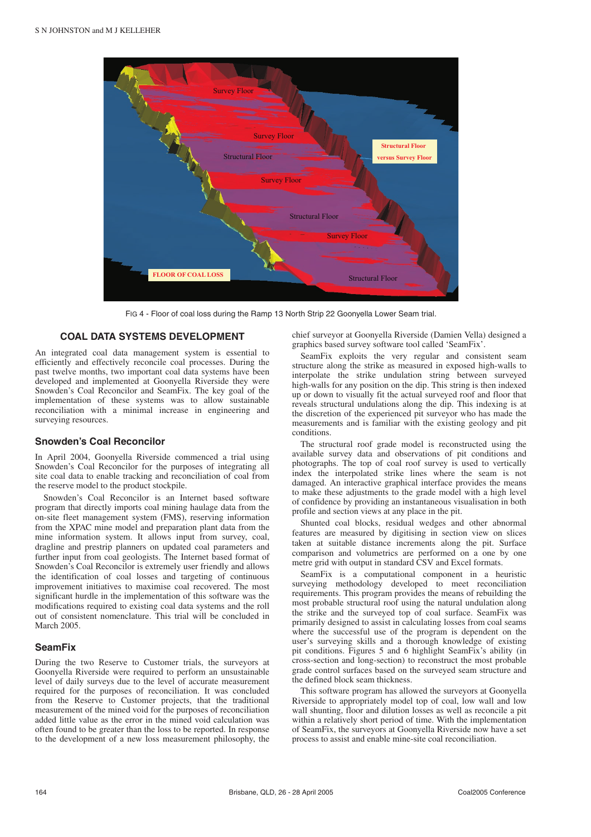

FIG 4 - Floor of coal loss during the Ramp 13 North Strip 22 Goonyella Lower Seam trial.

#### **COAL DATA SYSTEMS DEVELOPMENT**

An integrated coal data management system is essential to efficiently and effectively reconcile coal processes. During the past twelve months, two important coal data systems have been developed and implemented at Goonyella Riverside they were Snowden's Coal Reconcilor and SeamFix. The key goal of the implementation of these systems was to allow sustainable reconciliation with a minimal increase in engineering and surveying resources.

#### **Snowden's Coal Reconcilor**

In April 2004, Goonyella Riverside commenced a trial using Snowden's Coal Reconcilor for the purposes of integrating all site coal data to enable tracking and reconciliation of coal from the reserve model to the product stockpile.

Snowden's Coal Reconcilor is an Internet based software program that directly imports coal mining haulage data from the on-site fleet management system (FMS), reserving information from the XPAC mine model and preparation plant data from the mine information system. It allows input from survey, coal, dragline and prestrip planners on updated coal parameters and further input from coal geologists. The Internet based format of Snowden's Coal Reconcilor is extremely user friendly and allows the identification of coal losses and targeting of continuous improvement initiatives to maximise coal recovered. The most significant hurdle in the implementation of this software was the modifications required to existing coal data systems and the roll out of consistent nomenclature. This trial will be concluded in March 2005.

#### **SeamFix**

During the two Reserve to Customer trials, the surveyors at Goonyella Riverside were required to perform an unsustainable level of daily surveys due to the level of accurate measurement required for the purposes of reconciliation. It was concluded from the Reserve to Customer projects, that the traditional measurement of the mined void for the purposes of reconciliation added little value as the error in the mined void calculation was often found to be greater than the loss to be reported. In response to the development of a new loss measurement philosophy, the chief surveyor at Goonyella Riverside (Damien Vella) designed a graphics based survey software tool called 'SeamFix'.

SeamFix exploits the very regular and consistent seam structure along the strike as measured in exposed high-walls to interpolate the strike undulation string between surveyed high-walls for any position on the dip. This string is then indexed up or down to visually fit the actual surveyed roof and floor that reveals structural undulations along the dip. This indexing is at the discretion of the experienced pit surveyor who has made the measurements and is familiar with the existing geology and pit conditions.

The structural roof grade model is reconstructed using the available survey data and observations of pit conditions and photographs. The top of coal roof survey is used to vertically index the interpolated strike lines where the seam is not damaged. An interactive graphical interface provides the means to make these adjustments to the grade model with a high level of confidence by providing an instantaneous visualisation in both profile and section views at any place in the pit.

Shunted coal blocks, residual wedges and other abnormal features are measured by digitising in section view on slices taken at suitable distance increments along the pit. Surface comparison and volumetrics are performed on a one by one metre grid with output in standard CSV and Excel formats.

SeamFix is a computational component in a heuristic surveying methodology developed to meet reconciliation requirements. This program provides the means of rebuilding the most probable structural roof using the natural undulation along the strike and the surveyed top of coal surface. SeamFix was primarily designed to assist in calculating losses from coal seams where the successful use of the program is dependent on the user's surveying skills and a thorough knowledge of existing pit conditions. Figures 5 and 6 highlight SeamFix's ability (in cross-section and long-section) to reconstruct the most probable grade control surfaces based on the surveyed seam structure and the defined block seam thickness.

This software program has allowed the surveyors at Goonyella Riverside to appropriately model top of coal, low wall and low wall shunting, floor and dilution losses as well as reconcile a pit within a relatively short period of time. With the implementation of SeamFix, the surveyors at Goonyella Riverside now have a set process to assist and enable mine-site coal reconciliation.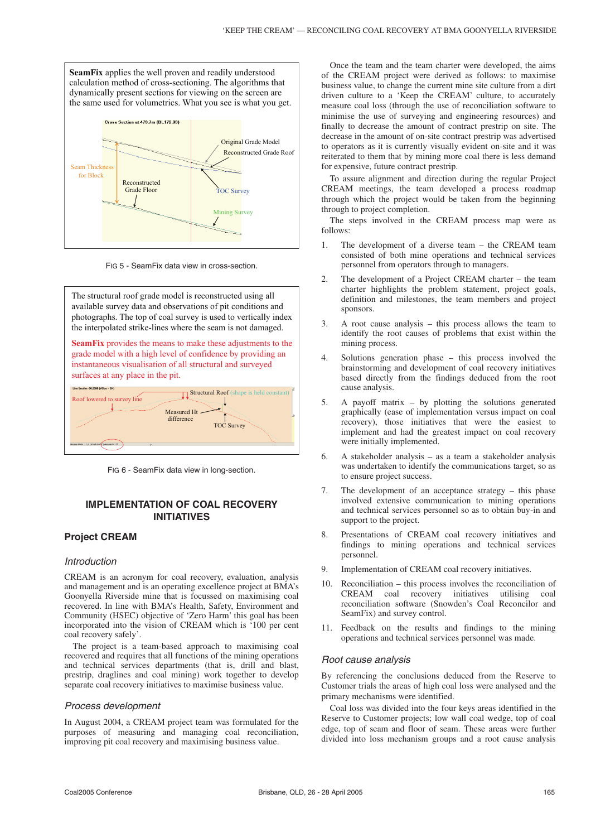**SeamFix** applies the well proven and readily understood calculation method of cross-sectioning. The algorithms that dynamically present sections for viewing on the screen are the same used for volumetrics. What you see is what you get. Cross Section at 473 7m (BJ 172.93) Original Grade Model Reconstructed Grade Roof Seam Thickne for Block Reconstructed Grade Floor TOC Survey Mining Survey

FIG 5 - SeamFix data view in cross-section.

The structural roof grade model is reconstructed using all available survey data and observations of pit conditions and photographs. The top of coal survey is used to vertically index the interpolated strike-lines where the seam is not damaged.

**SeamFix** provides the means to make these adjustments to the grade model with a high level of confidence by providing an instantaneous visualisation of all structural and surveyed surfaces at any place in the pit.



FIG 6 - SeamFix data view in long-section.

## **IMPLEMENTATION OF COAL RECOVERY INITIATIVES**

## **Project CREAM**

#### Introduction

CREAM is an acronym for coal recovery, evaluation, analysis and management and is an operating excellence project at BMA's Goonyella Riverside mine that is focussed on maximising coal recovered. In line with BMA's Health, Safety, Environment and Community (HSEC) objective of 'Zero Harm' this goal has been incorporated into the vision of CREAM which is '100 per cent coal recovery safely'.

The project is a team-based approach to maximising coal recovered and requires that all functions of the mining operations and technical services departments (that is, drill and blast, prestrip, draglines and coal mining) work together to develop separate coal recovery initiatives to maximise business value.

#### Process development

In August 2004, a CREAM project team was formulated for the purposes of measuring and managing coal reconciliation, improving pit coal recovery and maximising business value.

Once the team and the team charter were developed, the aims of the CREAM project were derived as follows: to maximise business value, to change the current mine site culture from a dirt driven culture to a 'Keep the CREAM' culture, to accurately measure coal loss (through the use of reconciliation software to minimise the use of surveying and engineering resources) and finally to decrease the amount of contract prestrip on site. The decrease in the amount of on-site contract prestrip was advertised to operators as it is currently visually evident on-site and it was reiterated to them that by mining more coal there is less demand for expensive, future contract prestrip.

To assure alignment and direction during the regular Project CREAM meetings, the team developed a process roadmap through which the project would be taken from the beginning through to project completion.

The steps involved in the CREAM process map were as follows:

- 1. The development of a diverse team the CREAM team consisted of both mine operations and technical services personnel from operators through to managers.
- 2. The development of a Project CREAM charter the team charter highlights the problem statement, project goals, definition and milestones, the team members and project sponsors.
- 3. A root cause analysis this process allows the team to identify the root causes of problems that exist within the mining process.
- 4. Solutions generation phase this process involved the brainstorming and development of coal recovery initiatives based directly from the findings deduced from the root cause analysis.
- 5. A payoff matrix by plotting the solutions generated graphically (ease of implementation versus impact on coal recovery), those initiatives that were the easiest to implement and had the greatest impact on coal recovery were initially implemented.
- 6. A stakeholder analysis as a team a stakeholder analysis was undertaken to identify the communications target, so as to ensure project success.
- 7. The development of an acceptance strategy this phase involved extensive communication to mining operations and technical services personnel so as to obtain buy-in and support to the project.
- 8. Presentations of CREAM coal recovery initiatives and findings to mining operations and technical services personnel.
- 9. Implementation of CREAM coal recovery initiatives.
- 10. Reconciliation this process involves the reconciliation of CREAM coal recovery initiatives utilising coal reconciliation software (Snowden's Coal Reconcilor and SeamFix) and survey control.
- 11. Feedback on the results and findings to the mining operations and technical services personnel was made.

#### Root cause analysis

By referencing the conclusions deduced from the Reserve to Customer trials the areas of high coal loss were analysed and the primary mechanisms were identified.

Coal loss was divided into the four keys areas identified in the Reserve to Customer projects; low wall coal wedge, top of coal edge, top of seam and floor of seam. These areas were further divided into loss mechanism groups and a root cause analysis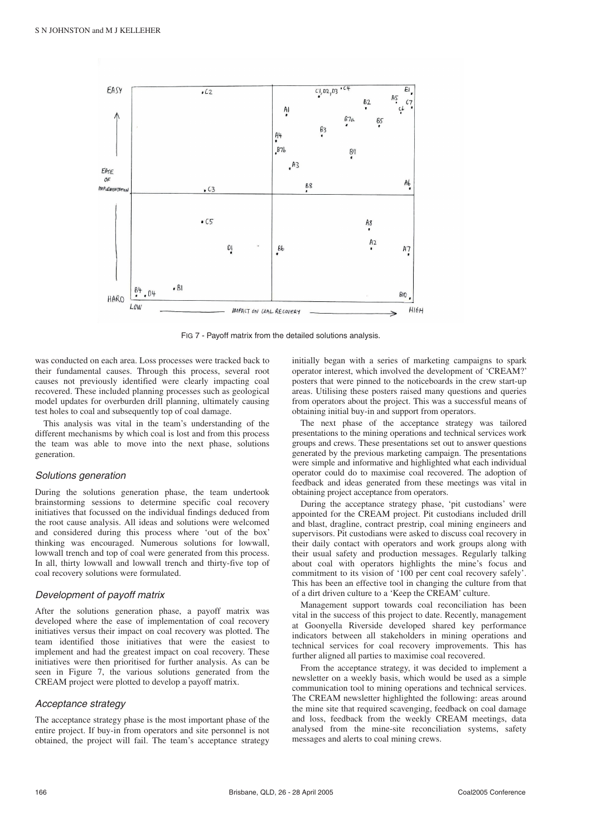

FIG 7 - Payoff matrix from the detailed solutions analysis.

was conducted on each area. Loss processes were tracked back to their fundamental causes. Through this process, several root causes not previously identified were clearly impacting coal recovered. These included planning processes such as geological model updates for overburden drill planning, ultimately causing test holes to coal and subsequently top of coal damage.

This analysis was vital in the team's understanding of the different mechanisms by which coal is lost and from this process the team was able to move into the next phase, solutions generation.

#### Solutions generation

During the solutions generation phase, the team undertook brainstorming sessions to determine specific coal recovery initiatives that focussed on the individual findings deduced from the root cause analysis. All ideas and solutions were welcomed and considered during this process where 'out of the box' thinking was encouraged. Numerous solutions for lowwall, lowwall trench and top of coal were generated from this process. In all, thirty lowwall and lowwall trench and thirty-five top of coal recovery solutions were formulated.

#### Development of payoff matrix

After the solutions generation phase, a payoff matrix was developed where the ease of implementation of coal recovery initiatives versus their impact on coal recovery was plotted. The team identified those initiatives that were the easiest to implement and had the greatest impact on coal recovery. These initiatives were then prioritised for further analysis. As can be seen in Figure 7, the various solutions generated from the CREAM project were plotted to develop a payoff matrix.

#### Acceptance strategy

The acceptance strategy phase is the most important phase of the entire project. If buy-in from operators and site personnel is not obtained, the project will fail. The team's acceptance strategy initially began with a series of marketing campaigns to spark operator interest, which involved the development of 'CREAM?' posters that were pinned to the noticeboards in the crew start-up areas. Utilising these posters raised many questions and queries from operators about the project. This was a successful means of obtaining initial buy-in and support from operators.

The next phase of the acceptance strategy was tailored presentations to the mining operations and technical services work groups and crews. These presentations set out to answer questions generated by the previous marketing campaign. The presentations were simple and informative and highlighted what each individual operator could do to maximise coal recovered. The adoption of feedback and ideas generated from these meetings was vital in obtaining project acceptance from operators.

During the acceptance strategy phase, 'pit custodians' were appointed for the CREAM project. Pit custodians included drill and blast, dragline, contract prestrip, coal mining engineers and supervisors. Pit custodians were asked to discuss coal recovery in their daily contact with operators and work groups along with their usual safety and production messages. Regularly talking about coal with operators highlights the mine's focus and commitment to its vision of '100 per cent coal recovery safely'. This has been an effective tool in changing the culture from that of a dirt driven culture to a 'Keep the CREAM' culture.

Management support towards coal reconciliation has been vital in the success of this project to date. Recently, management at Goonyella Riverside developed shared key performance indicators between all stakeholders in mining operations and technical services for coal recovery improvements. This has further aligned all parties to maximise coal recovered.

From the acceptance strategy, it was decided to implement a newsletter on a weekly basis, which would be used as a simple communication tool to mining operations and technical services. The CREAM newsletter highlighted the following: areas around the mine site that required scavenging, feedback on coal damage and loss, feedback from the weekly CREAM meetings, data analysed from the mine-site reconciliation systems, safety messages and alerts to coal mining crews.